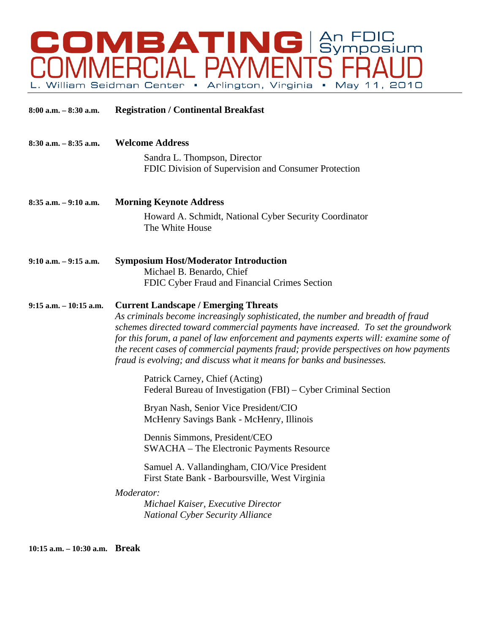

| $8:00$ a.m. $-8:30$ a.m.  | <b>Registration / Continental Breakfast</b>                                                                                                                                                                                                                                                                                                                                                                                                                                   |
|---------------------------|-------------------------------------------------------------------------------------------------------------------------------------------------------------------------------------------------------------------------------------------------------------------------------------------------------------------------------------------------------------------------------------------------------------------------------------------------------------------------------|
| $8:30$ a.m. $-8:35$ a.m.  | <b>Welcome Address</b><br>Sandra L. Thompson, Director<br>FDIC Division of Supervision and Consumer Protection                                                                                                                                                                                                                                                                                                                                                                |
| $8:35$ a.m. $-9:10$ a.m.  | <b>Morning Keynote Address</b><br>Howard A. Schmidt, National Cyber Security Coordinator<br>The White House                                                                                                                                                                                                                                                                                                                                                                   |
| $9:10$ a.m. $-9:15$ a.m.  | <b>Symposium Host/Moderator Introduction</b><br>Michael B. Benardo, Chief<br>FDIC Cyber Fraud and Financial Crimes Section                                                                                                                                                                                                                                                                                                                                                    |
| $9:15$ a.m. $-10:15$ a.m. | <b>Current Landscape / Emerging Threats</b><br>As criminals become increasingly sophisticated, the number and breadth of fraud<br>schemes directed toward commercial payments have increased. To set the groundwork<br>for this forum, a panel of law enforcement and payments experts will: examine some of<br>the recent cases of commercial payments fraud; provide perspectives on how payments<br>fraud is evolving; and discuss what it means for banks and businesses. |
|                           | Patrick Carney, Chief (Acting)<br>Federal Bureau of Investigation (FBI) – Cyber Criminal Section                                                                                                                                                                                                                                                                                                                                                                              |
|                           | Bryan Nash, Senior Vice President/CIO<br>McHenry Savings Bank - McHenry, Illinois                                                                                                                                                                                                                                                                                                                                                                                             |
|                           | Dennis Simmons, President/CEO<br>SWACHA – The Electronic Payments Resource                                                                                                                                                                                                                                                                                                                                                                                                    |
|                           | Samuel A. Vallandingham, CIO/Vice President<br>First State Bank - Barboursville, West Virginia                                                                                                                                                                                                                                                                                                                                                                                |
|                           | Moderator:<br>Michael Kaiser, Executive Director<br><b>National Cyber Security Alliance</b>                                                                                                                                                                                                                                                                                                                                                                                   |

**10:15 a.m. – 10:30 a.m. Break**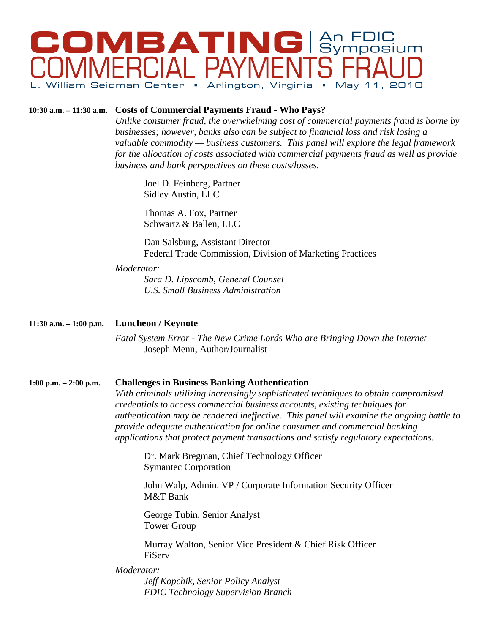# **COMBATING Symposium William Seidman Center** • May 11, 2010 Arlington, Virginia •

## **10:30 a.m. – 11:30 a.m. Costs of Commercial Payments Fraud - Who Pays?**

*Unlike consumer fraud, the overwhelming cost of commercial payments fraud is borne by businesses; however, banks also can be subject to financial loss and risk losing a valuable commodity — business customers. This panel will explore the legal framework for the allocation of costs associated with commercial payments fraud as well as provide business and bank perspectives on these costs/losses.*

Joel D. Feinberg, Partner Sidley Austin, LLC

Thomas A. Fox, Partner Schwartz & Ballen, LLC

Dan Salsburg, Assistant Director Federal Trade Commission, Division of Marketing Practices

#### *Moderator:*

 *Sara D. Lipscomb, General Counsel U.S. Small Business Administration* 

## **11:30 a.m. – 1:00 p.m. Luncheon / Keynote**

 *Fatal System Error - The New Crime Lords Who are Bringing Down the Internet* Joseph Menn, Author/Journalist

## **1:00 p.m. – 2:00 p.m. Challenges in Business Banking Authentication**

*With criminals utilizing increasingly sophisticated techniques to obtain compromised credentials to access commercial business accounts, existing techniques for authentication may be rendered ineffective. This panel will examine the ongoing battle to provide adequate authentication for online consumer and commercial banking applications that protect payment transactions and satisfy regulatory expectations.* 

Dr. Mark Bregman, Chief Technology Officer Symantec Corporation

John Walp, Admin. VP / Corporate Information Security Officer M&T Bank

George Tubin, Senior Analyst Tower Group

Murray Walton, Senior Vice President & Chief Risk Officer FiServ

## *Moderator:*

*Jeff Kopchik, Senior Policy Analyst FDIC Technology Supervision Branch*